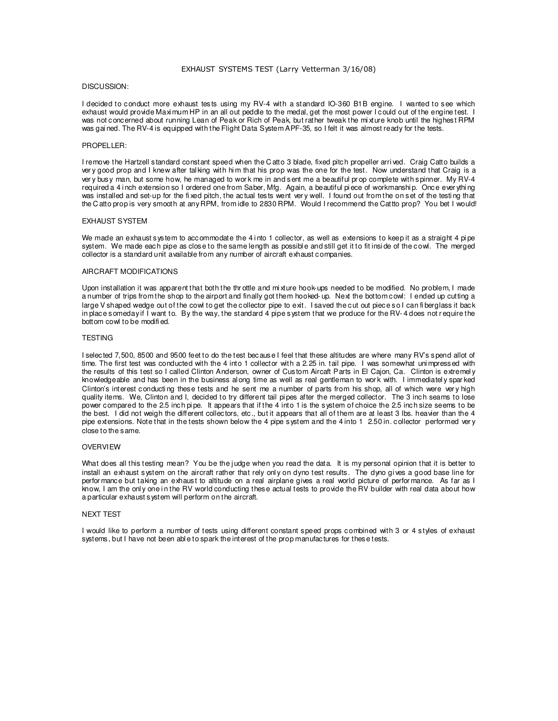### EXHAUST SYSTEMS TEST (Larry Vetterman 3/16/08)

# DISCUSSION:

I decided to conduct more exhaust tests using my RV-4 with a standard IO-360 B1B engine. I wanted to see which exhaust would provide Maximum HP in an all out peddle to the medal, get the most power I could out of the engine test. I was not concerned about running Lean of Peak or Rich of Peak, but rather tweak the mi xture knob until the highest RPM was gai ned. The RV-4 is equipped with the Flight Data System APF-35, so I felt it was almost ready for the tests.

# PROPELLER:

I remove the Hartzell standard constant speed when the C atto 3 blade, fixed pitch propeller arri ved. Craig Catto builds a very good prop and I knew after tal king with him that his prop was the one for the test. Now understand that Craig is a ver y busy man, but some how, he managed to wor k me in and sent me a beautiful pr op complete with spinner. My RV-4 required a 4 inch extension so I ordered one from Saber, Mfg. Again, a beautiful piece of workmanship. Once ever ything was installed and set-up for the fi xed pitch, the actual tests went ver y well. I found out from the on set of the testi ng that the C atto prop is very smooth at any RPM, from idle to 2830 RPM. Would I recommend the Cattto prop? You bet I would!

## EXHAUST SYSTEM

We made an exhaust system to accommodate the 4 into 1 collector, as well as extensions to keep it as a straight 4 pipe system. We made each pipe as close to the same length as possible and still get it to fit inside of the cowl. The merged collector is a standard unit available from any number of aircraft exhaust companies.

# AIRCRAFT MODIFICATIONS

Upon installation it was apparent that both the thr ottle and mi xture hook-ups needed to be modified. No problem, I made a number of trips from the shop to the airport and finally got them hooked- up. Next the bottom cowl: I ended up cutting a large V shaped wedge out of the cowl to get the collector pipe to exit. I saved the cut out piece so I can fiberglass it back in place someday if I want to. By the way, the standard 4 pipe system that we produce for the RV- 4 does not r equire the bottom cowl to be modifi ed.

# TESTING

I selected 7,500, 8500 and 9500 feet to do the test because I feel that these altitudes are where many RV's spend allot of time. The first test was conducted with the 4 into 1 collector with a 2.25 in. tail pipe. I was somewhat uni mpressed with the results of this test so I called Clinton Anderson, owner of Custom Aircaft Parts in El Cajon, Ca. Clinton is extremel y knowledgeable and has been in the business al ong time as well as real gentleman to wor k with. I immediatel y spar ked Clinton's interest conducting these tests and he sent me a number of parts from his shop, all of which were very high quality items. We, Clinton and I, decided to try different tail pi pes after the merged collector. The 3 inch seams to lose power compared to the 2.5 inch pipe. It appears that if the 4 into 1 is the system of choice the 2.5 inch size seems to be the best. I did not weigh the different collectors, etc., but it appears that all of them are at least 3 lbs. heavier than the 4 pipe extensions. Note that in the tests shown below the 4 pipe system and the 4 into 1 2.50 in. collector performed very close to the same.

#### OVERVIEW

What does all this testing mean? You be the judge when you read the data. It is my personal opinion that it is better to install an exhaust system on the aircraft rather that rely onl y on dyno test results. The dyno gi ves a good base line for perfor mance but taking an exhaust to altitude on a real airplane gives a real world picture of perfor mance. As far as I know, I am the only one in the RV world conducting these actual tests to provide the RV builder with real data about how a particular exhaust system will perform on the aircraft.

#### NEXT TEST

I would like to perform a number of tests using different constant speed props combined with 3 or 4 styles of exhaust systems, but I have not been able to spark the interest of the prop manufactures for these tests.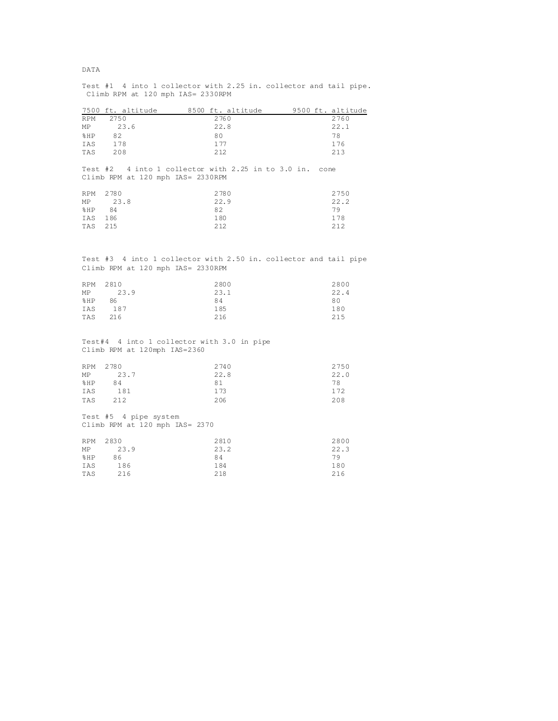|                                                                                                       | 7500 ft. altitude 8500 ft. altitude 9500 ft. altitude |  |      |  |      |
|-------------------------------------------------------------------------------------------------------|-------------------------------------------------------|--|------|--|------|
| RPM                                                                                                   | 2750                                                  |  | 2760 |  | 2760 |
| MP                                                                                                    | 23.6                                                  |  | 22.8 |  | 22.1 |
| 8HP                                                                                                   | 82                                                    |  | 80   |  | 78   |
| IAS                                                                                                   | 178                                                   |  | 177  |  | 176  |
| TAS                                                                                                   | 208                                                   |  | 212  |  | 213  |
| Test #2 4 into 1 collector with 2.25 in to 3.0 in. cone<br>Climb RPM at 120 mph IAS= 2330RPM          |                                                       |  |      |  |      |
| RPM                                                                                                   | 2780                                                  |  | 2780 |  | 2750 |
| MΡ                                                                                                    | 23.8                                                  |  | 22.9 |  | 22.2 |
| %HP                                                                                                   | - 84                                                  |  | 82   |  | 79   |
| IAS                                                                                                   | 186                                                   |  | 180  |  | 178  |
| TAS                                                                                                   | 215                                                   |  | 212  |  | 212  |
|                                                                                                       |                                                       |  |      |  |      |
| Test #3 4 into 1 collector with 2.50 in. collector and tail pipe<br>Climb RPM at 120 mph IAS= 2330RPM |                                                       |  |      |  |      |
| RPM                                                                                                   | 2810                                                  |  | 2800 |  | 2800 |
| MP                                                                                                    | 23.9                                                  |  | 23.1 |  | 22.4 |
| %HP                                                                                                   | 86                                                    |  | 84   |  | 80   |
| IAS                                                                                                   | 187                                                   |  | 185  |  | 180  |
| TAS                                                                                                   | 216                                                   |  | 216  |  | 215  |
| Test#4 4 into 1 collector with 3.0 in pipe<br>Climb RPM at 120mph IAS=2360                            |                                                       |  |      |  |      |
| RPM                                                                                                   | 2780                                                  |  | 2740 |  | 2750 |
| MΡ                                                                                                    | 23.7                                                  |  | 22.8 |  | 22.0 |
| %HP                                                                                                   | 84                                                    |  | 81   |  | 78   |
| IAS                                                                                                   | 181                                                   |  | 173  |  | 172  |
| TAS                                                                                                   | 212                                                   |  | 206  |  | 208  |
| Test #5 4 pipe system<br>Climb RPM at 120 mph IAS= 2370                                               |                                                       |  |      |  |      |
| RPM                                                                                                   | 2830                                                  |  | 2810 |  | 2800 |
| MP                                                                                                    | 23.9                                                  |  | 23.2 |  | 22.3 |
| %HP                                                                                                   | 86                                                    |  | 84   |  | 79   |
| IAS                                                                                                   | 186                                                   |  | 184  |  | 180  |
| TAS                                                                                                   | 216                                                   |  | 218  |  | 216  |
|                                                                                                       |                                                       |  |      |  |      |

Test #1 4 into 1 collector with 2.25 in. collector and tail pipe. Climb RPM at 120 mph IAS= 2330RPM

# DATA